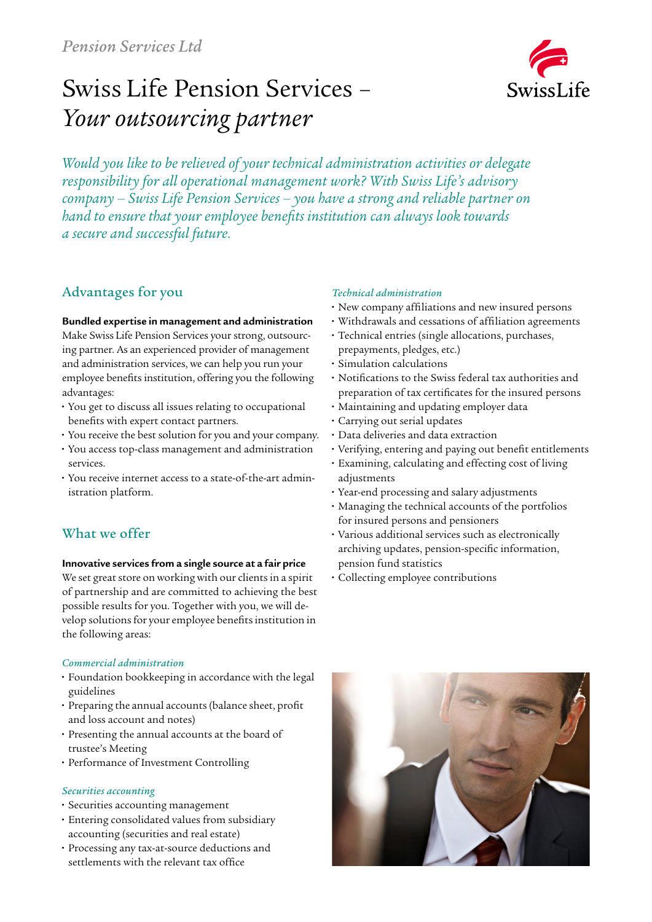# Swiss Life Pension Services – *Your outsourcing partner*



*Would you like to be relieved of your technical administration activities or delegate responsibility for all operational management work? With Swiss Life's advisory company – Swiss Life Pension Services – you have a strong and reliable partner on hand to ensure that your employee benefits institution can always look towards a secure and successful future.*

# Advantages for you

#### **Bundled expertise in management and administration**

Make Swiss Life Pension Services your strong, outsourcing partner. As an experienced provider of management and administration services, we can help you run your employee benefits institution, offering you the following advantages:

- **•** You get to discuss all issues relating to occupational benefits with expert contact partners.
- **•** You receive the best solution for you and your company.
- **•** You access top-class management and administration services.
- **•** You receive internet access to a state-of-the-art administration platform.

# What we offer

### **Innovative services from a single source at a fair price**

We set great store on working with our clients in a spirit of partnership and are committed to achieving the best possible results for you. Together with you, we will develop solutions for your employee benefits institution in the following areas:

## *Commercial administration*

- **•** Foundation bookkeeping in accordance with the legal guidelines
- **•** Preparing the annual accounts (balance sheet, profit and loss account and notes)
- **•** Presenting the annual accounts at the board of trustee's Meeting
- **•** Performance of Investment Controlling

#### *Securities accounting*

- **•** Securities accounting management
- **•** Entering consolidated values from subsidiary accounting (securities and real estate)
- **•** Processing any tax-at-source deductions and settlements with the relevant tax office

## *Technical administration*

- **•** New company affiliations and new insured persons
- **•** Withdrawals and cessations of affiliation agreements
- **•** Technical entries (single allocations, purchases, prepayments, pledges, etc.)
- **•** Simulation calculations
- **•** Notifications to the Swiss federal tax authorities and preparation of tax certificates for the insured persons
- **•** Maintaining and updating employer data
- **•** Carrying out serial updates
- **•** Data deliveries and data extraction
- **•** Verifying, entering and paying out benefit entitlements
- **•** Examining, calculating and effecting cost of living adjustments
- **•** Year-end processing and salary adjustments
- **•** Managing the technical accounts of the portfolios for insured persons and pensioners
- **•** Various additional services such as electronically archiving updates, pension-specific information, pension fund statistics
- **•** Collecting employee contributions